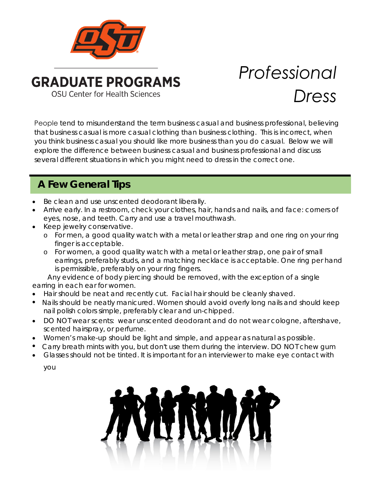

# *Professional Dress*

People tend to misunderstand the term business casual and business professional, believing that business casual is more casual clothing than business clothing. This is incorrect, when you think business casual you should like more business than you do casual. Below we will explore the difference between business casual and business professional and discuss several different situations in which you might need to dress in the correct one.

## **A Few General Tips**

- Be clean and use unscented deodorant liberally.
- Arrive early. In a restroom, check your clothes, hair, hands and nails, and face: corners of eyes, nose, and teeth. Carry and use a travel mouthwash.
- Keep jewelry conservative.
	- o For men, a good quality watch with a metal or leather strap and one ring on your ring finger is acceptable.
	- o For women, a good quality watch with a metal or leather strap, one pair of small earrings, preferably studs, and a matching necklace is acceptable. One ring per hand is permissible, preferably on your ring fingers.

 Any evidence of body piercing should be removed, with the exception of a single earring in each ear for women.

- Hair should be neat and recently cut. Facial hair should be cleanly shaved.
- Nails should be neatly manicured. Women should avoid overly long nails and should keep nail polish colors simple, preferably clear and un-chipped.
- DO NOT wear scents: wear unscented deodorant and do not wear cologne, aftershave, scented hairspray, or perfume.
- Women's make-up should be light and simple, and appear as natural as possible.
- Carry breath mints with you, but don't use them during the interview. DO NOT chew gum
- Glasses should not be tinted. It is important for an interviewer to make eye contact with

you